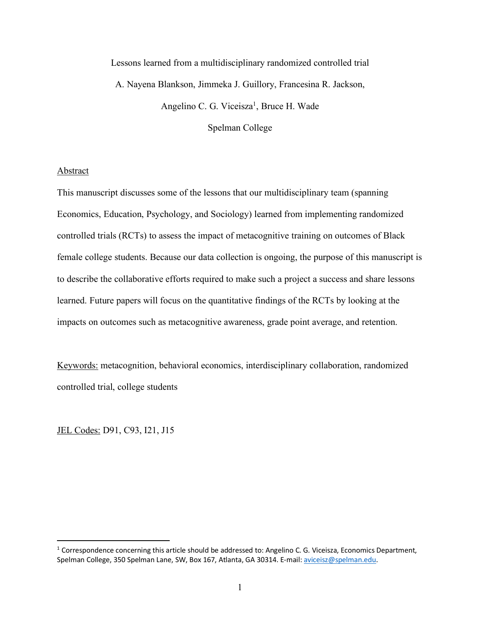Lessons learned from a multidisciplinary randomized controlled trial A. Nayena Blankson, Jimmeka J. Guillory, Francesina R. Jackson, Angelino C. G. Viceisza<sup>1</sup>, Bruce H. Wade

Spelman College

# Abstract

This manuscript discusses some of the lessons that our multidisciplinary team (spanning Economics, Education, Psychology, and Sociology) learned from implementing randomized controlled trials (RCTs) to assess the impact of metacognitive training on outcomes of Black female college students. Because our data collection is ongoing, the purpose of this manuscript is to describe the collaborative efforts required to make such a project a success and share lessons learned. Future papers will focus on the quantitative findings of the RCTs by looking at the impacts on outcomes such as metacognitive awareness, grade point average, and retention.

Keywords: metacognition, behavioral economics, interdisciplinary collaboration, randomized controlled trial, college students

JEL Codes: D91, C93, I21, J15

<sup>&</sup>lt;sup>1</sup> Correspondence concerning this article should be addressed to: Angelino C. G. Viceisza, Economics Department, Spelman College, 350 Spelman Lane, SW, Box 167, Atlanta, GA 30314. E-mail: aviceisz@spelman.edu.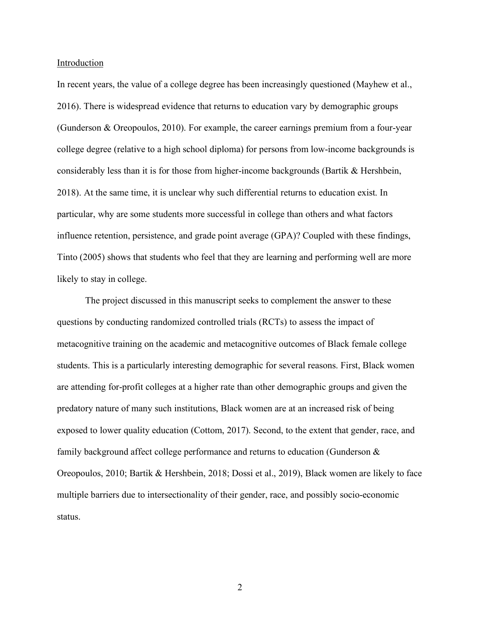Introduction

In recent years, the value of a college degree has been increasingly questioned (Mayhew et al., 2016). There is widespread evidence that returns to education vary by demographic groups (Gunderson & Oreopoulos, 2010). For example, the career earnings premium from a four-year college degree (relative to a high school diploma) for persons from low-income backgrounds is considerably less than it is for those from higher-income backgrounds (Bartik & Hershbein, 2018). At the same time, it is unclear why such differential returns to education exist. In particular, why are some students more successful in college than others and what factors influence retention, persistence, and grade point average (GPA)? Coupled with these findings, Tinto (2005) shows that students who feel that they are learning and performing well are more likely to stay in college.

The project discussed in this manuscript seeks to complement the answer to these questions by conducting randomized controlled trials (RCTs) to assess the impact of metacognitive training on the academic and metacognitive outcomes of Black female college students. This is a particularly interesting demographic for several reasons. First, Black women are attending for-profit colleges at a higher rate than other demographic groups and given the predatory nature of many such institutions, Black women are at an increased risk of being exposed to lower quality education (Cottom, 2017). Second, to the extent that gender, race, and family background affect college performance and returns to education (Gunderson & Oreopoulos, 2010; Bartik & Hershbein, 2018; Dossi et al., 2019), Black women are likely to face multiple barriers due to intersectionality of their gender, race, and possibly socio-economic status.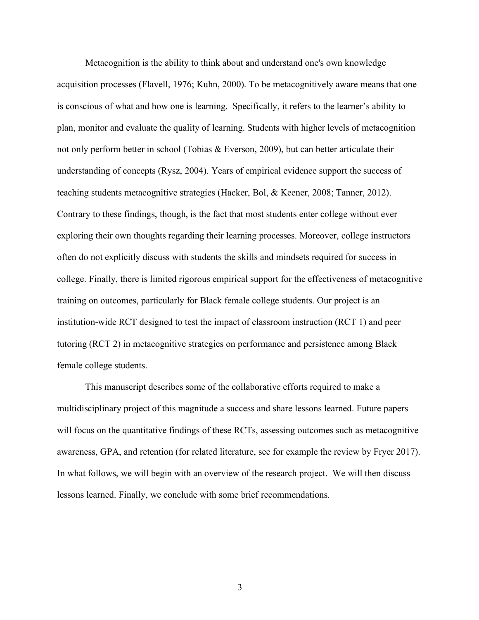Metacognition is the ability to think about and understand one's own knowledge acquisition processes (Flavell, 1976; Kuhn, 2000). To be metacognitively aware means that one is conscious of what and how one is learning. Specifically, it refers to the learner's ability to plan, monitor and evaluate the quality of learning. Students with higher levels of metacognition not only perform better in school (Tobias & Everson, 2009), but can better articulate their understanding of concepts (Rysz, 2004). Years of empirical evidence support the success of teaching students metacognitive strategies (Hacker, Bol, & Keener, 2008; Tanner, 2012). Contrary to these findings, though, is the fact that most students enter college without ever exploring their own thoughts regarding their learning processes. Moreover, college instructors often do not explicitly discuss with students the skills and mindsets required for success in college. Finally, there is limited rigorous empirical support for the effectiveness of metacognitive training on outcomes, particularly for Black female college students. Our project is an institution-wide RCT designed to test the impact of classroom instruction (RCT 1) and peer tutoring (RCT 2) in metacognitive strategies on performance and persistence among Black female college students.

This manuscript describes some of the collaborative efforts required to make a multidisciplinary project of this magnitude a success and share lessons learned. Future papers will focus on the quantitative findings of these RCTs, assessing outcomes such as metacognitive awareness, GPA, and retention (for related literature, see for example the review by Fryer 2017). In what follows, we will begin with an overview of the research project. We will then discuss lessons learned. Finally, we conclude with some brief recommendations.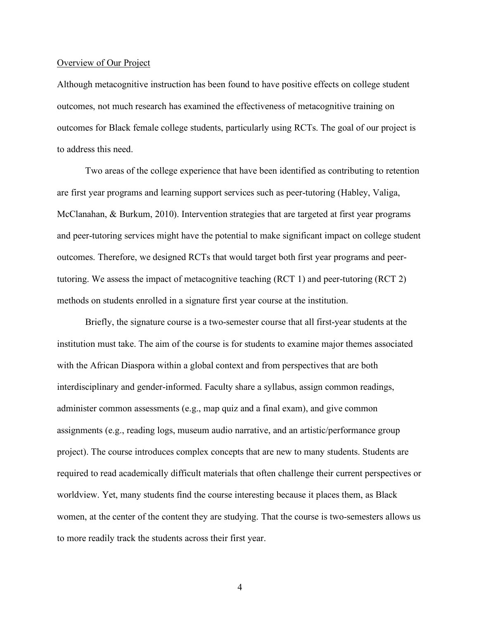### Overview of Our Project

Although metacognitive instruction has been found to have positive effects on college student outcomes, not much research has examined the effectiveness of metacognitive training on outcomes for Black female college students, particularly using RCTs. The goal of our project is to address this need.

Two areas of the college experience that have been identified as contributing to retention are first year programs and learning support services such as peer-tutoring (Habley, Valiga, McClanahan, & Burkum, 2010). Intervention strategies that are targeted at first year programs and peer-tutoring services might have the potential to make significant impact on college student outcomes. Therefore, we designed RCTs that would target both first year programs and peertutoring. We assess the impact of metacognitive teaching (RCT 1) and peer-tutoring (RCT 2) methods on students enrolled in a signature first year course at the institution.

Briefly, the signature course is a two-semester course that all first-year students at the institution must take. The aim of the course is for students to examine major themes associated with the African Diaspora within a global context and from perspectives that are both interdisciplinary and gender-informed. Faculty share a syllabus, assign common readings, administer common assessments (e.g., map quiz and a final exam), and give common assignments (e.g., reading logs, museum audio narrative, and an artistic/performance group project). The course introduces complex concepts that are new to many students. Students are required to read academically difficult materials that often challenge their current perspectives or worldview. Yet, many students find the course interesting because it places them, as Black women, at the center of the content they are studying. That the course is two-semesters allows us to more readily track the students across their first year.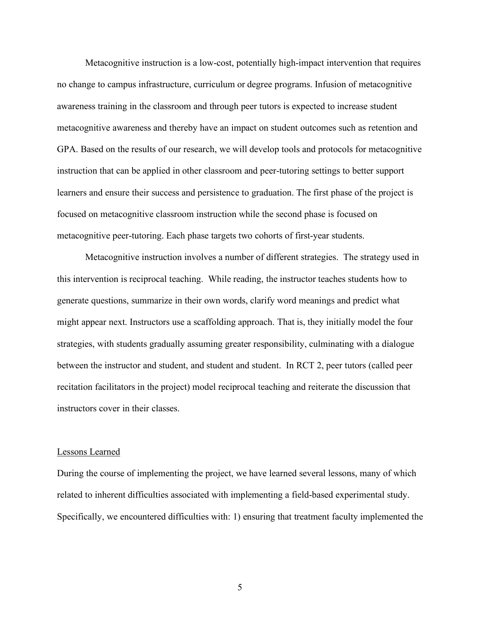Metacognitive instruction is a low-cost, potentially high-impact intervention that requires no change to campus infrastructure, curriculum or degree programs. Infusion of metacognitive awareness training in the classroom and through peer tutors is expected to increase student metacognitive awareness and thereby have an impact on student outcomes such as retention and GPA. Based on the results of our research, we will develop tools and protocols for metacognitive instruction that can be applied in other classroom and peer-tutoring settings to better support learners and ensure their success and persistence to graduation. The first phase of the project is focused on metacognitive classroom instruction while the second phase is focused on metacognitive peer-tutoring. Each phase targets two cohorts of first-year students.

Metacognitive instruction involves a number of different strategies. The strategy used in this intervention is reciprocal teaching. While reading, the instructor teaches students how to generate questions, summarize in their own words, clarify word meanings and predict what might appear next. Instructors use a scaffolding approach. That is, they initially model the four strategies, with students gradually assuming greater responsibility, culminating with a dialogue between the instructor and student, and student and student. In RCT 2, peer tutors (called peer recitation facilitators in the project) model reciprocal teaching and reiterate the discussion that instructors cover in their classes.

# Lessons Learned

During the course of implementing the project, we have learned several lessons, many of which related to inherent difficulties associated with implementing a field-based experimental study. Specifically, we encountered difficulties with: 1) ensuring that treatment faculty implemented the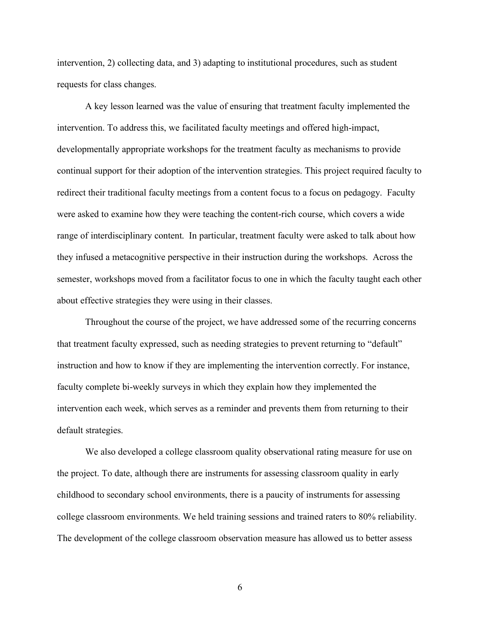intervention, 2) collecting data, and 3) adapting to institutional procedures, such as student requests for class changes.

A key lesson learned was the value of ensuring that treatment faculty implemented the intervention. To address this, we facilitated faculty meetings and offered high-impact, developmentally appropriate workshops for the treatment faculty as mechanisms to provide continual support for their adoption of the intervention strategies. This project required faculty to redirect their traditional faculty meetings from a content focus to a focus on pedagogy. Faculty were asked to examine how they were teaching the content-rich course, which covers a wide range of interdisciplinary content. In particular, treatment faculty were asked to talk about how they infused a metacognitive perspective in their instruction during the workshops. Across the semester, workshops moved from a facilitator focus to one in which the faculty taught each other about effective strategies they were using in their classes.

Throughout the course of the project, we have addressed some of the recurring concerns that treatment faculty expressed, such as needing strategies to prevent returning to "default" instruction and how to know if they are implementing the intervention correctly. For instance, faculty complete bi-weekly surveys in which they explain how they implemented the intervention each week, which serves as a reminder and prevents them from returning to their default strategies.

We also developed a college classroom quality observational rating measure for use on the project. To date, although there are instruments for assessing classroom quality in early childhood to secondary school environments, there is a paucity of instruments for assessing college classroom environments. We held training sessions and trained raters to 80% reliability. The development of the college classroom observation measure has allowed us to better assess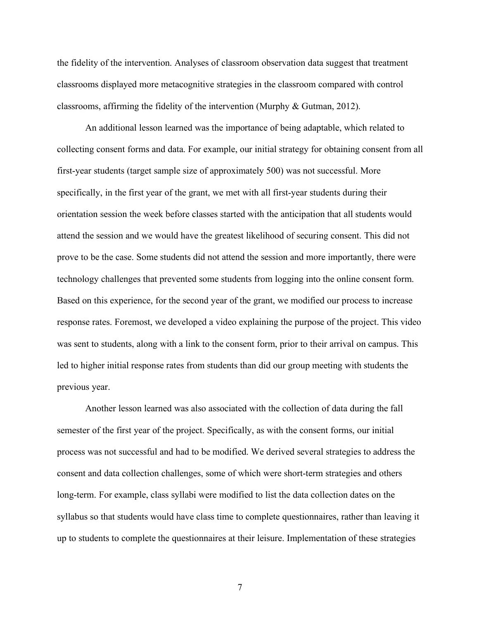the fidelity of the intervention. Analyses of classroom observation data suggest that treatment classrooms displayed more metacognitive strategies in the classroom compared with control classrooms, affirming the fidelity of the intervention (Murphy & Gutman, 2012).

An additional lesson learned was the importance of being adaptable, which related to collecting consent forms and data. For example, our initial strategy for obtaining consent from all first-year students (target sample size of approximately 500) was not successful. More specifically, in the first year of the grant, we met with all first-year students during their orientation session the week before classes started with the anticipation that all students would attend the session and we would have the greatest likelihood of securing consent. This did not prove to be the case. Some students did not attend the session and more importantly, there were technology challenges that prevented some students from logging into the online consent form. Based on this experience, for the second year of the grant, we modified our process to increase response rates. Foremost, we developed a video explaining the purpose of the project. This video was sent to students, along with a link to the consent form, prior to their arrival on campus. This led to higher initial response rates from students than did our group meeting with students the previous year.

Another lesson learned was also associated with the collection of data during the fall semester of the first year of the project. Specifically, as with the consent forms, our initial process was not successful and had to be modified. We derived several strategies to address the consent and data collection challenges, some of which were short-term strategies and others long-term. For example, class syllabi were modified to list the data collection dates on the syllabus so that students would have class time to complete questionnaires, rather than leaving it up to students to complete the questionnaires at their leisure. Implementation of these strategies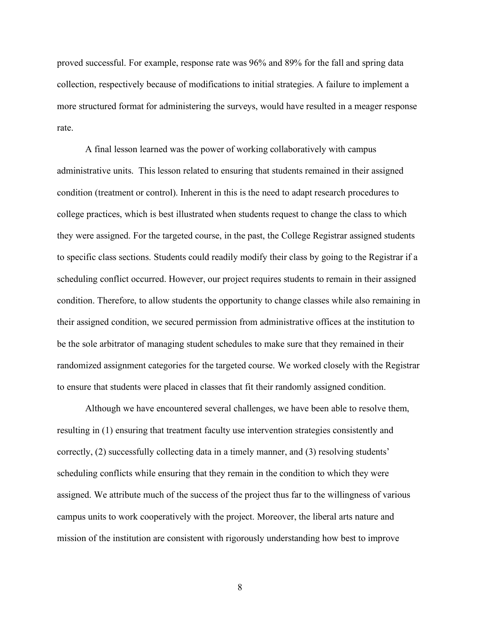proved successful. For example, response rate was 96% and 89% for the fall and spring data collection, respectively because of modifications to initial strategies. A failure to implement a more structured format for administering the surveys, would have resulted in a meager response rate.

A final lesson learned was the power of working collaboratively with campus administrative units. This lesson related to ensuring that students remained in their assigned condition (treatment or control). Inherent in this is the need to adapt research procedures to college practices, which is best illustrated when students request to change the class to which they were assigned. For the targeted course, in the past, the College Registrar assigned students to specific class sections. Students could readily modify their class by going to the Registrar if a scheduling conflict occurred. However, our project requires students to remain in their assigned condition. Therefore, to allow students the opportunity to change classes while also remaining in their assigned condition, we secured permission from administrative offices at the institution to be the sole arbitrator of managing student schedules to make sure that they remained in their randomized assignment categories for the targeted course. We worked closely with the Registrar to ensure that students were placed in classes that fit their randomly assigned condition.

Although we have encountered several challenges, we have been able to resolve them, resulting in (1) ensuring that treatment faculty use intervention strategies consistently and correctly, (2) successfully collecting data in a timely manner, and (3) resolving students' scheduling conflicts while ensuring that they remain in the condition to which they were assigned. We attribute much of the success of the project thus far to the willingness of various campus units to work cooperatively with the project. Moreover, the liberal arts nature and mission of the institution are consistent with rigorously understanding how best to improve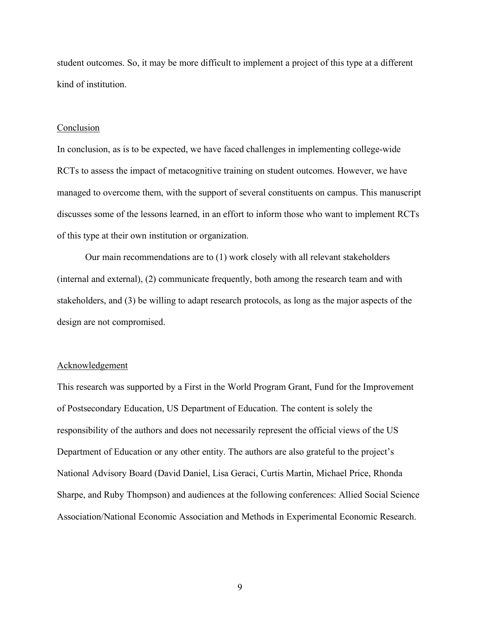student outcomes. So, it may be more difficult to implement a project of this type at a different kind of institution.

#### Conclusion

In conclusion, as is to be expected, we have faced challenges in implementing college-wide RCTs to assess the impact of metacognitive training on student outcomes. However, we have managed to overcome them, with the support of several constituents on campus. This manuscript discusses some of the lessons learned, in an effort to inform those who want to implement RCTs of this type at their own institution or organization.

Our main recommendations are to (1) work closely with all relevant stakeholders (internal and external), (2) communicate frequently, both among the research team and with stakeholders, and (3) be willing to adapt research protocols, as long as the major aspects of the design are not compromised.

# Acknowledgement

This research was supported by a First in the World Program Grant, Fund for the Improvement of Postsecondary Education, US Department of Education. The content is solely the responsibility of the authors and does not necessarily represent the official views of the US Department of Education or any other entity. The authors are also grateful to the project's National Advisory Board (David Daniel, Lisa Geraci, Curtis Martin, Michael Price, Rhonda Sharpe, and Ruby Thompson) and audiences at the following conferences: Allied Social Science Association/National Economic Association and Methods in Experimental Economic Research.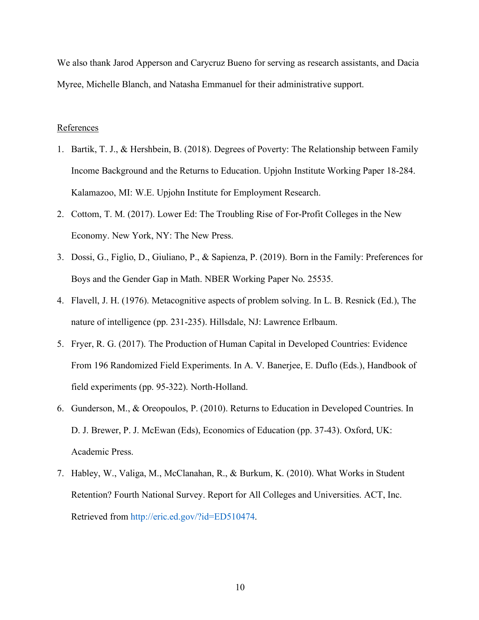We also thank Jarod Apperson and Carycruz Bueno for serving as research assistants, and Dacia Myree, Michelle Blanch, and Natasha Emmanuel for their administrative support.

# References

- 1. Bartik, T. J., & Hershbein, B. (2018). Degrees of Poverty: The Relationship between Family Income Background and the Returns to Education. Upjohn Institute Working Paper 18-284. Kalamazoo, MI: W.E. Upjohn Institute for Employment Research.
- 2. Cottom, T. M. (2017). Lower Ed: The Troubling Rise of For-Profit Colleges in the New Economy. New York, NY: The New Press.
- 3. Dossi, G., Figlio, D., Giuliano, P., & Sapienza, P. (2019). Born in the Family: Preferences for Boys and the Gender Gap in Math. NBER Working Paper No. 25535.
- 4. Flavell, J. H. (1976). Metacognitive aspects of problem solving. In L. B. Resnick (Ed.), The nature of intelligence (pp. 231-235). Hillsdale, NJ: Lawrence Erlbaum.
- 5. Fryer, R. G. (2017). The Production of Human Capital in Developed Countries: Evidence From 196 Randomized Field Experiments. In A. V. Banerjee, E. Duflo (Eds.), Handbook of field experiments (pp. 95-322). North-Holland.
- 6. Gunderson, M., & Oreopoulos, P. (2010). Returns to Education in Developed Countries. In D. J. Brewer, P. J. McEwan (Eds), Economics of Education (pp. 37-43). Oxford, UK: Academic Press.
- 7. Habley, W., Valiga, M., McClanahan, R., & Burkum, K. (2010). What Works in Student Retention? Fourth National Survey. Report for All Colleges and Universities. ACT, Inc. Retrieved from http://eric.ed.gov/?id=ED510474.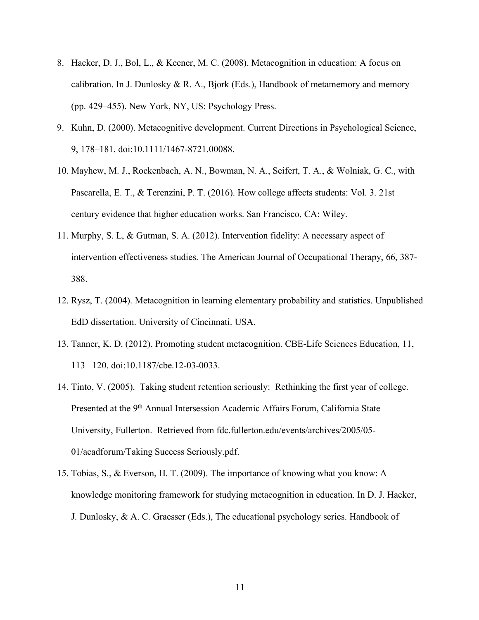- 8. Hacker, D. J., Bol, L., & Keener, M. C. (2008). Metacognition in education: A focus on calibration. In J. Dunlosky  $\&$  R. A., Bjork (Eds.), Handbook of metamemory and memory (pp. 429–455). New York, NY, US: Psychology Press.
- 9. Kuhn, D. (2000). Metacognitive development. Current Directions in Psychological Science, 9, 178–181. doi:10.1111/1467-8721.00088.
- 10. Mayhew, M. J., Rockenbach, A. N., Bowman, N. A., Seifert, T. A., & Wolniak, G. C., with Pascarella, E. T., & Terenzini, P. T. (2016). How college affects students: Vol. 3. 21st century evidence that higher education works. San Francisco, CA: Wiley.
- 11. Murphy, S. L, & Gutman, S. A. (2012). Intervention fidelity: A necessary aspect of intervention effectiveness studies. The American Journal of Occupational Therapy, 66, 387- 388.
- 12. Rysz, T. (2004). Metacognition in learning elementary probability and statistics. Unpublished EdD dissertation. University of Cincinnati. USA.
- 13. Tanner, K. D. (2012). Promoting student metacognition. CBE-Life Sciences Education, 11, 113– 120. doi:10.1187/cbe.12-03-0033.
- 14. Tinto, V. (2005). Taking student retention seriously: Rethinking the first year of college. Presented at the 9<sup>th</sup> Annual Intersession Academic Affairs Forum, California State University, Fullerton. Retrieved from fdc.fullerton.edu/events/archives/2005/05- 01/acadforum/Taking Success Seriously.pdf.
- 15. Tobias, S., & Everson, H. T. (2009). The importance of knowing what you know: A knowledge monitoring framework for studying metacognition in education. In D. J. Hacker, J. Dunlosky, & A. C. Graesser (Eds.), The educational psychology series. Handbook of